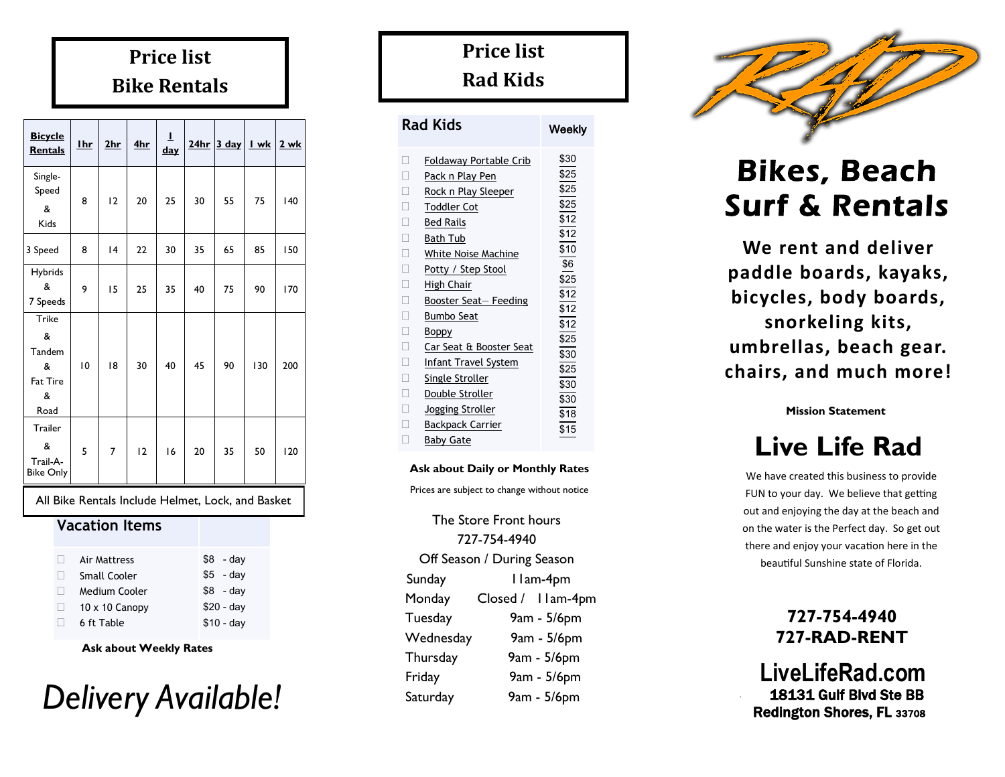## **Price list Bike Rentals**

| <b>Bicycle</b><br><b>Rentals</b>                   | <b>I</b> hr | 2hr | 4hr | T<br><u>day</u> | 24hr | $3$ day | I wk | 2 wk |
|----------------------------------------------------|-------------|-----|-----|-----------------|------|---------|------|------|
|                                                    |             |     |     |                 |      |         |      |      |
| Single-<br>Speed<br>&<br>Kids                      | 8           | 12  | 20  | 25              | 30   | 55      | 75   | 140  |
| 3 Speed                                            | 8           | 4   | 22  | 30              | 35   | 65      | 85   | 150  |
| <b>Hybrids</b><br>&<br>7 Speeds                    | 9           | 15  | 25  | 35              | 40   | 75      | 90   | 170  |
| Trike<br>&<br>Tandem<br>&<br>Fat Tire<br>&<br>Road | 10          | 18  | 30  | 40              | 45   | 90      | 130  | 200  |
| Trailer<br>&<br>Trail-A-<br><b>Bike Only</b>       | 5           | 7   | 12  | 16              | 20   | 35      | 50   | 120  |

All Bike Rentals Include Helmet, Lock, and Basket

### **Vacation Items**

| Air Mattress          | \$8<br>- dav |
|-----------------------|--------------|
| Small Cooler          | $$5$ - day   |
| Medium Cooler         | $$8$ - day   |
| $10 \times 10$ Canopy | $$20 - day$  |
| 6 ft Table            | $$10 - day$  |
|                       |              |

**Ask about Weekly Rates**



## **Price list Rad Kids**

| Rad Kids                                                                                                                                                                                                                                                                                                                                                                                                                                          | Weekly                                                                                                                                      |
|---------------------------------------------------------------------------------------------------------------------------------------------------------------------------------------------------------------------------------------------------------------------------------------------------------------------------------------------------------------------------------------------------------------------------------------------------|---------------------------------------------------------------------------------------------------------------------------------------------|
| П<br>Foldaway Portable Crib<br>П<br>Pack n Play Pen<br>П<br>Rock n Play Sleeper<br>П<br><b>Toddler Cot</b><br>П<br><b>Bed Rails</b><br>П<br><b>Bath Tub</b><br>П<br>White Noise Machine<br>П<br>Potty / Step Stool<br>Г<br>High Chair<br>П<br>Booster Seat- Feeding<br>Г<br>Bumbo Seat<br>П<br><b>Boppy</b><br>П<br>Car Seat & Booster Seat<br>П<br>Infant Travel System<br>Г<br>Single Stroller<br>Г<br>Double Stroller<br>Г<br>Jogging Stroller | \$30<br>\$25<br>\$25<br>\$25<br>\$12<br>\$12<br>\$10<br>\$6<br>\$25<br>\$12<br>\$12<br>\$12<br>\$25<br>\$30<br>\$25<br>\$30<br>\$30<br>\$18 |
| Г<br>Backpack Carrier<br>Baby Gate                                                                                                                                                                                                                                                                                                                                                                                                                | \$15                                                                                                                                        |
|                                                                                                                                                                                                                                                                                                                                                                                                                                                   |                                                                                                                                             |

### **Ask about Daily or Monthly Rates**

Prices are subject to change without notice

The Store Front hours 727-754-4940 Off Season / During Season Sunday 11am-4pm Monday Closed / 11am-4pm Tuesday 9am - 5/6pm Wednesday 9am - 5/6pm Thursday 9am - 5/6pm Friday 9am - 5/6pm Saturday 9am - 5/6pm



# Bikes, Beach Surf & Rentals

**We rent and deliver paddle boards, kayaks, bicycles, body boards, snorkeling kits, umbrellas, beach gear. chairs, and much more!** 

**Mission Statement**

# **Live Life Rad**

We have created this business to provide FUN to your day. We believe that getting out and enjoying the day at the beach and on the water is the Perfect day. So get out there and enjoy your vacation here in the beautiful Sunshine state of Florida.

### **727-754-4940 727-RAD-RENT**

 **LiveLifeRad.com** 18131 Gulf Blvd Ste BB Redington Shores, FL <sup>33708</sup>